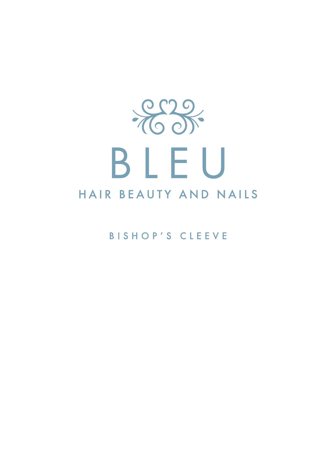

**BISHOP'S CLEEVE**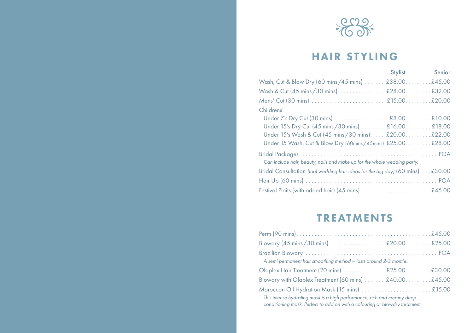

## HAIR STYLING

|                                                                                | Stylist Senior |
|--------------------------------------------------------------------------------|----------------|
| Wash, Cut & Blow Dry (60 mins / 45 mins) £38.00. £45.00                        |                |
| Wash & Cut (45 mins / 30 mins)  £28.00 £32.00                                  |                |
|                                                                                |                |
| Childrens'                                                                     |                |
|                                                                                |                |
| Under 15's Dry Cut (45 mins / 30 mins)  £16.00 £18.00                          |                |
| Under 15's Wash & Cut (45 mins / 30 mins) £20.00 £22.00                        |                |
| Under 15 Wash, Cut & Blow Dry (60mins/45mins) £25.00. £28.00                   |                |
|                                                                                |                |
| Can include hair, beauty, nails and make up for the whole wedding party.       |                |
| Bridal Consultation (trial wedding hair ideas for the big day) (60 mins)£30.00 |                |
|                                                                                |                |
|                                                                                |                |

### TREATMENTS

| A semi permanent hair smoothing method - lasts around 2-3 months.                                                                                      |
|--------------------------------------------------------------------------------------------------------------------------------------------------------|
| Olaplex Hair Treatment (20 mins)  £25.00£30.00                                                                                                         |
| Blowdry with Olaplex Treatment (60 mins)  £40.00 £45.00                                                                                                |
| Moroccan Oil Hydration Mask (15 mins)  £15.00                                                                                                          |
| This intense hydrating mask is a high performance, rich and creamy deep<br>conditioning mask. Perfect to add on with a colouring or blowdry treatment. |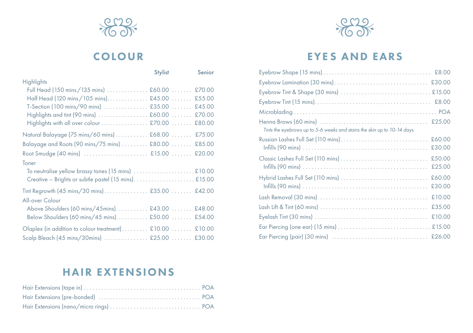

### **COLOUR**

|                                                          | Stylist | Senior |
|----------------------------------------------------------|---------|--------|
| <b>Highlights</b>                                        |         |        |
| Full Head (150 mins / 135 mins)  £60.00  £70.00          |         |        |
| Half Head (120 mins / 105 mins) £45.00  £55.00           |         |        |
| T-Section (100 mins/90 mins)  £35.00  £45.00             |         |        |
| Highlights and tint (90 mins)  £60.00  £70.00            |         |        |
| Highlights with all over colour £70.00 £80.00            |         |        |
| Natural Balayage (75 mins/60 mins)  £68.00  £75.00       |         |        |
| Balayage and Roots (90 mins/75 mins)  £80.00  £85.00     |         |        |
|                                                          |         |        |
| Toner                                                    |         |        |
|                                                          |         |        |
|                                                          |         |        |
|                                                          |         |        |
| All-over Colour                                          |         |        |
| Above Shoulders (60 mins/45mins) £43.00  £48.00          |         |        |
| Below Shoulders (60 mins/45 mins) £50.00  £54.00         |         |        |
| Olaplex (in addition to colour treatment) £10.00  £10.00 |         |        |
| Scalp Bleach (45 mins/30mins)  £25.00  £30.00            |         |        |

# HAIR EXTENSIONS



# EYES AND EARS

| Tints the eyebrows up to 5-6 weeks and stains the skin up to 10-14 days |                  |
|-------------------------------------------------------------------------|------------------|
| Russian Lashes Full Set (110 mins)                                      | £60.00<br>£30.00 |
| Classic Lashes Full Set (110 mins)                                      | £50.00<br>£25.00 |
| Hybrid Lashes Full Set (110 mins)                                       | £60.00<br>£30.00 |
|                                                                         | £10.00           |
|                                                                         | £35.00           |
|                                                                         | £10.00           |
|                                                                         |                  |
|                                                                         |                  |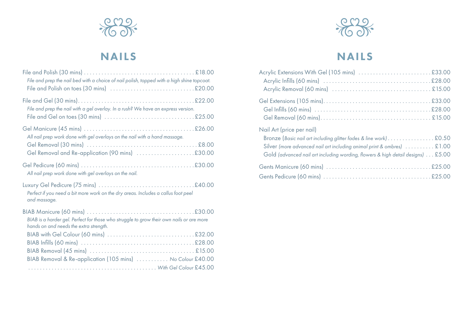

# NAILS

| File and prep the nail bed with a choice of nail polish, topped with a high shine topcoat.<br>File and Polish on toes (30 mins) $\ldots \ldots \ldots \ldots \ldots \ldots \ldots \ldots \ldots$ |  |
|--------------------------------------------------------------------------------------------------------------------------------------------------------------------------------------------------|--|
| File and prep the nail with a gel overlay. In a rush? We have an express version.                                                                                                                |  |
| All nail prep work done with gel overlays on the nail with a hand massage.                                                                                                                       |  |
|                                                                                                                                                                                                  |  |
| All nail prep work done with gel overlays on the nail.                                                                                                                                           |  |
| Perfect if you need a bit more work on the dry areas. Includes a callus foot peel<br>and massage.                                                                                                |  |
| BIAB is a harder gel. Perfect for those who struggle to grow their own nails or are more<br>hands on and needs the extra strength.                                                               |  |
|                                                                                                                                                                                                  |  |
|                                                                                                                                                                                                  |  |
| BIAB Removal & Re-application (105 mins)  No Colour £40.00                                                                                                                                       |  |
|                                                                                                                                                                                                  |  |



# NAILS

| Nail Art (price per nail)<br>Bronze (Basic nail art including glitter fades & line work) £0.50<br>Silver (more advanced nail art including animal print & ombres) $\dots\dots\dots\$ 1.00<br>Gold (advanced nail art including wording, flowers & high detail designs) £5.00 |  |
|------------------------------------------------------------------------------------------------------------------------------------------------------------------------------------------------------------------------------------------------------------------------------|--|
|                                                                                                                                                                                                                                                                              |  |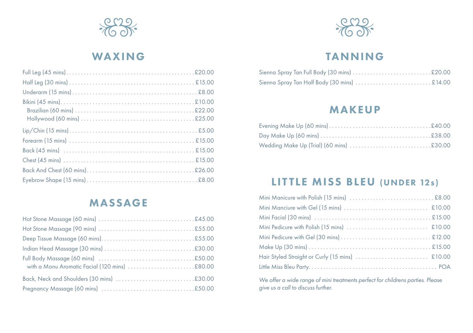

#### WAXING

### MASSAGE



#### TANNING

#### MAKEUP

### LITTLE MISS BLEU (UNDER 12s)

*We offer a wide range of mini treatments perfect for childrens parties. Please give us a call to discuss further.*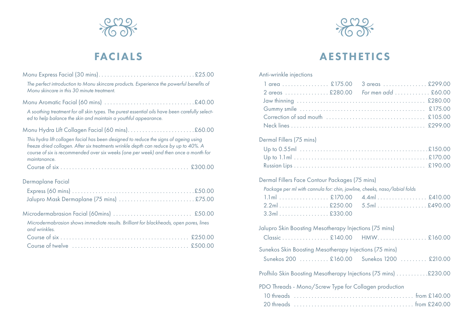

# FACIALS

| The perfect introduction to Monu skincare products. Experience the powerful benefits of<br>Monu skincare in this 30 minute treatment.                                                                                                                                                 |  |
|---------------------------------------------------------------------------------------------------------------------------------------------------------------------------------------------------------------------------------------------------------------------------------------|--|
|                                                                                                                                                                                                                                                                                       |  |
| A soothing treatment for all skin types. The purest essential oils have been carefully select-<br>ed to help balance the skin and maintain a youthful appearance.                                                                                                                     |  |
|                                                                                                                                                                                                                                                                                       |  |
| This hydra lift collagen facial has been designed to reduce the signs of ageing using<br>freeze dried collagen. After six treatments wrinkle depth can reduce by up to 40%. A<br>course of six is recommended over six weeks (one per week) and then once a month for<br>maintanance. |  |
|                                                                                                                                                                                                                                                                                       |  |
| Dermaplane Facial                                                                                                                                                                                                                                                                     |  |
|                                                                                                                                                                                                                                                                                       |  |
|                                                                                                                                                                                                                                                                                       |  |
| Microdermabrasion Facial (60mins)  £50.00                                                                                                                                                                                                                                             |  |
| Microdermabrasion shows immediate results. Brilliant for blackheads, open pores, lines<br>and wrinkles.                                                                                                                                                                               |  |
|                                                                                                                                                                                                                                                                                       |  |
|                                                                                                                                                                                                                                                                                       |  |



### AESTHETICS

#### Anti-wrinkle injections

| 1 area £175.00 3 areas £299.00       |
|--------------------------------------|
| 2 areas  £280.00 For men add  £60.00 |
|                                      |
|                                      |
|                                      |
|                                      |

#### Dermal Fillers (75 mins)

#### Dermal Fillers Face Contour Packages (75 mins)

| Package per ml with cannula for: chin, jawline, cheeks, naso/labial folds |                                                                                          |
|---------------------------------------------------------------------------|------------------------------------------------------------------------------------------|
|                                                                           | 1.1ml £170.00 4.4ml £410.00                                                              |
|                                                                           | $2.2$ m $\ldots$ $2.2$ m $\ldots$ $2.50.00$ $5.5$ m $\ldots$ $2.2$ m $\ldots$ $2.490.00$ |
|                                                                           |                                                                                          |

#### Jalupro Skin Boosting Mesotherapy Injections (75 mins) Classic . . . . . . . . . . . . . . £140.00 HMW . . . . . . . . . . . . . . £160.00 Sunekos Skin Boosting Mesotherapy Injections (75 mins) Sunekos 200 . . . . . . . . . £160.00 Sunekos 1200 . . . . . . . . £210.00 Profhilo Skin Boosting Mesotherapy Injections (75 mins) . . . . . . . . . . . £230.00 PDO Threads - Mono/Screw Type for Collagen production